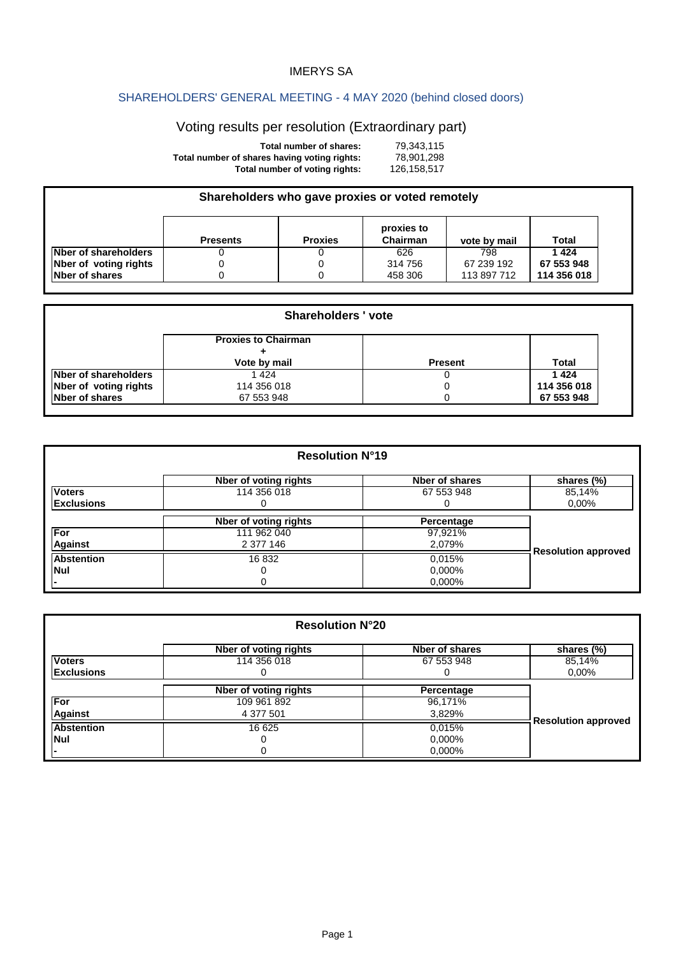## IMERYS SA

## SHAREHOLDERS' GENERAL MEETING - 4 MAY 2020 (behind closed doors)

## Voting results per resolution (Extraordinary part)

| Total number of shares:                      | 79.343.115  |
|----------------------------------------------|-------------|
| Total number of shares having voting rights: | 78.901.298  |
| Total number of voting rights:               | 126.158.517 |

| Shareholders who gave proxies or voted remotely |                 |                |                        |              |              |
|-------------------------------------------------|-----------------|----------------|------------------------|--------------|--------------|
|                                                 | <b>Presents</b> | <b>Proxies</b> | proxies to<br>Chairman | vote by mail | <b>Total</b> |
| Nber of shareholders                            |                 |                | 626                    | 798          | 1424         |
| Nber of voting rights                           |                 |                | 314 756                | 67 239 192   | 67 553 948   |
| Nber of shares                                  |                 |                | 458 306                | 113 897 712  | 114 356 018  |

| <b>Shareholders ' vote</b> |                            |                |             |
|----------------------------|----------------------------|----------------|-------------|
|                            | <b>Proxies to Chairman</b> |                |             |
|                            | Vote by mail               | <b>Present</b> | Total       |
| Nber of shareholders       | 1 424                      |                | 1424        |
| Nber of voting rights      | 114 356 018                |                | 114 356 018 |
| <b>Nber of shares</b>      | 67 553 948                 |                | 67 553 948  |

| <b>Resolution N°19</b> |                       |                |                            |
|------------------------|-----------------------|----------------|----------------------------|
|                        | Nber of voting rights | Nber of shares | shares (%)                 |
| <b>Voters</b>          | 114 356 018           | 67 553 948     | 85,14%                     |
| <b>Exclusions</b>      |                       | O              | $0.00\%$                   |
|                        | Nber of voting rights | Percentage     |                            |
| For                    | 111 962 040           | 97,921%        |                            |
| <b>Against</b>         | 2 377 146             | 2,079%         |                            |
| <b>Abstention</b>      | 16832                 | 0.015%         | <b>Resolution approved</b> |
| <b>Nul</b>             |                       | 0.000%         |                            |
|                        | 0                     | 0,000%         |                            |

| <b>Resolution N°20</b> |                       |                |                            |
|------------------------|-----------------------|----------------|----------------------------|
|                        | Nber of voting rights | Nber of shares | shares (%)                 |
| <b>Voters</b>          | 114 356 018           | 67 553 948     | 85,14%                     |
| <b>Exclusions</b>      |                       |                | 0,00%                      |
|                        | Nber of voting rights | Percentage     |                            |
| <b>For</b>             | 109 961 892           | 96,171%        |                            |
| <b>Against</b>         | 4 377 501             | 3,829%         |                            |
| <b>Abstention</b>      | 16 625                | 0,015%         | <b>Resolution approved</b> |
| <b>Nul</b>             |                       | 0.000%         |                            |
|                        |                       | 0.000%         |                            |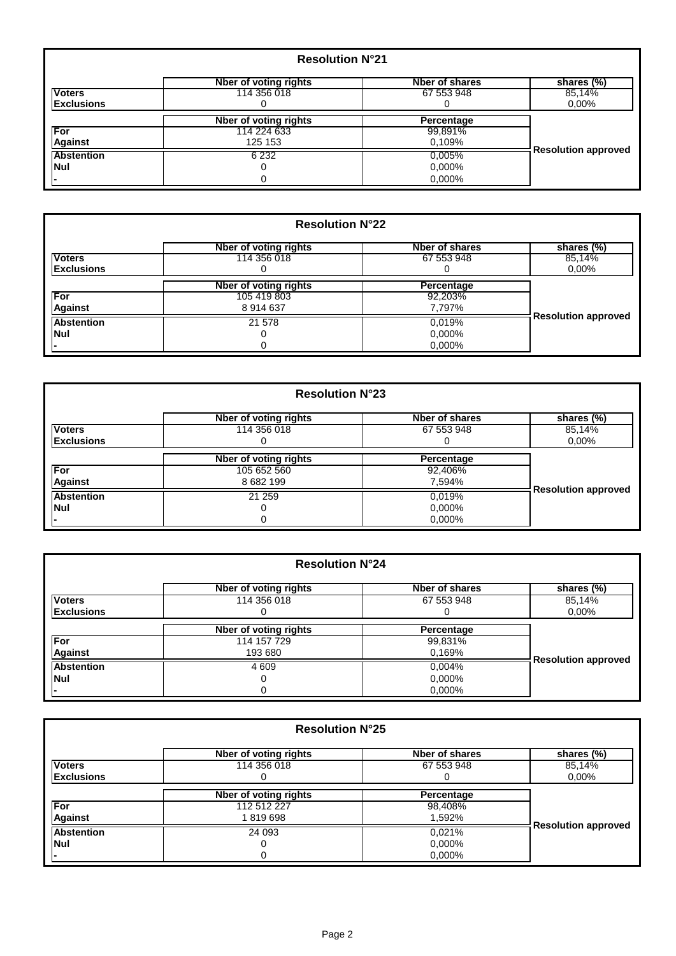| <b>Resolution N°21</b> |                       |                |                            |
|------------------------|-----------------------|----------------|----------------------------|
|                        | Nber of voting rights | Nber of shares | shares (%)                 |
| <b>Voters</b>          | 114 356 018           | 67 553 948     | 85,14%                     |
| <b>Exclusions</b>      |                       | 0              | $0.00\%$                   |
|                        | Nber of voting rights | Percentage     |                            |
| For                    | 114 224 633           | 99,891%        |                            |
| <b>Against</b>         | 125 153               | 0.109%         |                            |
| <b>Abstention</b>      | 6 2 3 2               | 0.005%         | <b>Resolution approved</b> |
| <b>Nul</b>             |                       | 0,000%         |                            |
|                        |                       | $0.000\%$      |                            |

| <b>Resolution N°22</b> |                       |                |                            |
|------------------------|-----------------------|----------------|----------------------------|
|                        | Nber of voting rights | Nber of shares | shares (%)                 |
| <b>Voters</b>          | 114 356 018           | 67 553 948     | 85,14%                     |
| <b>Exclusions</b>      |                       |                | 0.00%                      |
|                        | Nber of voting rights | Percentage     |                            |
| For                    | 105 419 803           | 92,203%        |                            |
| <b>Against</b>         | 8914637               | 7,797%         |                            |
| <b>Abstention</b>      | 21 578                | 0.019%         | <b>Resolution approved</b> |
| <b>Nul</b>             |                       | 0,000%         |                            |
|                        |                       | 0.000%         |                            |

| <b>Resolution N°23</b> |                       |                |                            |
|------------------------|-----------------------|----------------|----------------------------|
|                        | Nber of voting rights | Nber of shares | shares (%)                 |
| <b>Voters</b>          | 114 356 018           | 67 553 948     | 85,14%                     |
| <b>Exclusions</b>      |                       |                | $0.00\%$                   |
|                        | Nber of voting rights | Percentage     |                            |
| For                    | 105 652 560           | 92,406%        |                            |
| <b>Against</b>         | 8 682 199             | 7,594%         |                            |
| <b>Abstention</b>      | 21 259                | 0,019%         | <b>Resolution approved</b> |
| <b>Nul</b>             |                       | 0.000%         |                            |
|                        |                       | $0.000\%$      |                            |

| <b>Resolution N°24</b> |                              |                |                            |
|------------------------|------------------------------|----------------|----------------------------|
|                        | Nber of voting rights        | Nber of shares | shares (%)                 |
| <b>Voters</b>          | 114 356 018                  | 67 553 948     | 85,14%                     |
| <b>Exclusions</b>      |                              | O              | $0,00\%$                   |
|                        | <b>Nber of voting rights</b> | Percentage     |                            |
| <b>For</b>             | 114 157 729                  | 99,831%        |                            |
| <b>Against</b>         | 193 680                      | 0.169%         |                            |
| <b>Abstention</b>      | 4 609                        | 0,004%         | <b>Resolution approved</b> |
| <b>Nul</b>             |                              | 0.000%         |                            |
|                        |                              | 0.000%         |                            |

| <b>Resolution N°25</b> |                       |                |                            |
|------------------------|-----------------------|----------------|----------------------------|
|                        | Nber of voting rights | Nber of shares | shares (%)                 |
| <b>Voters</b>          | 114 356 018           | 67 553 948     | 85,14%                     |
| <b>Exclusions</b>      |                       |                | $0.00\%$                   |
|                        | Nber of voting rights | Percentage     |                            |
| For                    | 112 512 227           | 98,408%        |                            |
| <b>Against</b>         | 1819698               | 1,592%         |                            |
| <b>Abstention</b>      | 24 093                | 0.021%         | <b>Resolution approved</b> |
| <b>Nul</b>             |                       | 0.000%         |                            |
|                        |                       | 0,000%         |                            |